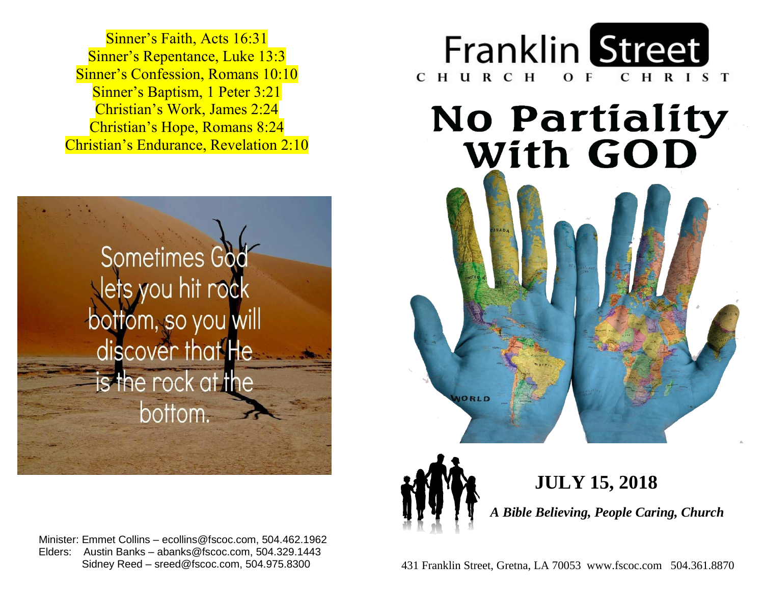Sinner's Repentance, Luke 13:3 **Sinner's Confession, Romans 10:10 Sinner's Baptism, 1 Peter 3:21**  Christian's Work, James 2:24  Christian's Hope, Romans 8:24  Christian's Endurance, Revelation 2:10  Sinner's Faith, Acts 16:31



Minister: Emmet Collins – ecollins@fscoc.com, 504.462.1962 Sidney Reed - sreed@fscoc.com, 504.975.8300 Elders: Austin Banks – abanks@fscoc.com, 504.329.1443



### **No Partiality** With GOD



 Sidney Reed – sreed@fscoc.com, 504.975.8300431 Franklin Street, Gretna, LA 70053 www.fscoc.com 504.361.8870